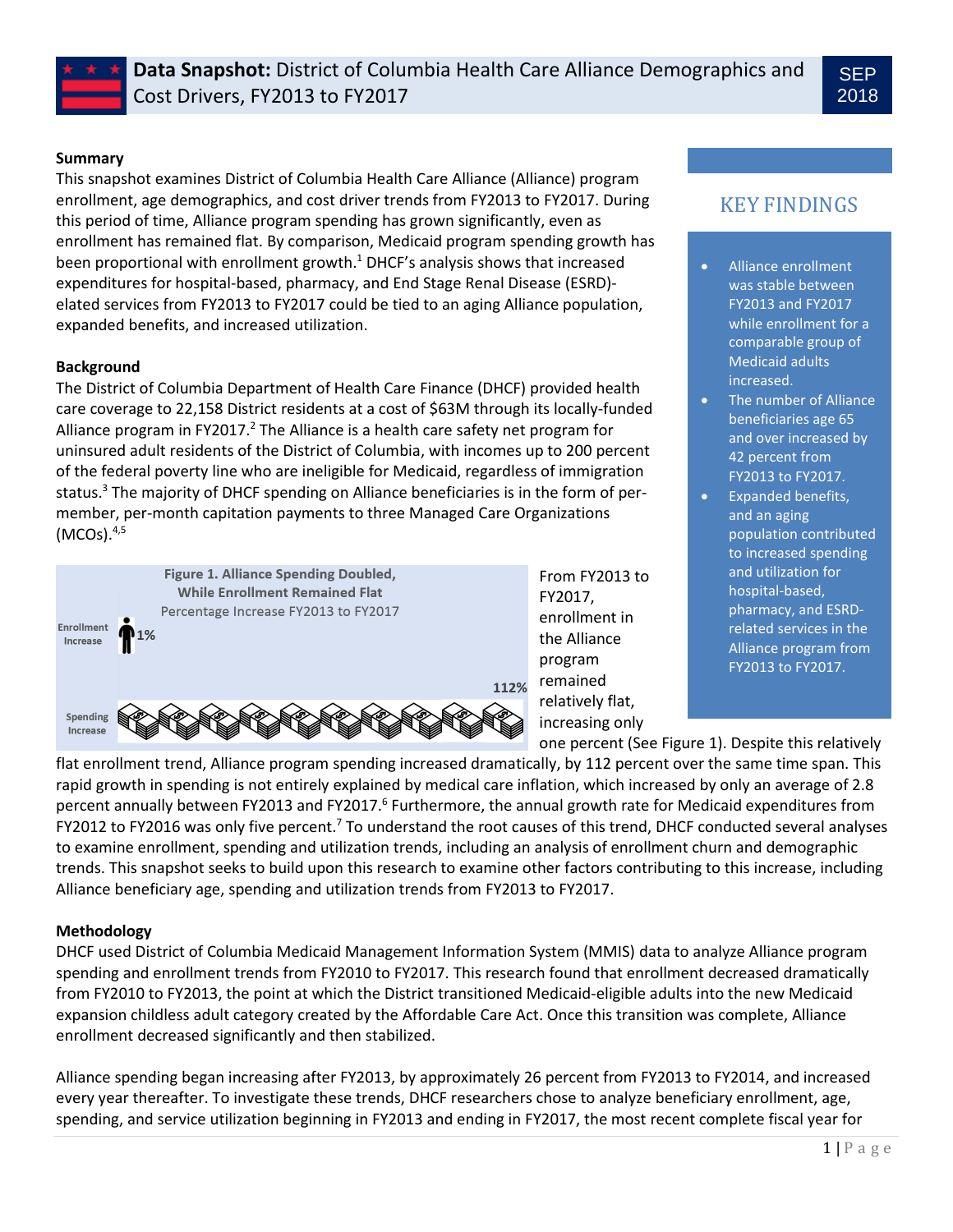

# **Summary**

This snapshot examines District of Columbia Health Care Alliance (Alliance) program enrollment, age demographics, and cost driver trends from FY2013 to FY2017. During this period of time, Alliance program spending has grown significantly, even as enrollment has remained flat. By comparison, Medicaid program spending growth has been proportional with enrollment growth. <sup>1</sup> DHCF's analysis shows that increased expenditures for hospital-based, pharmacy, and End Stage Renal Disease (ESRD) elated services from FY2013 to FY2017 could be tied to an aging Alliance population, expanded benefits, and increased utilization.

# **Background**

The District of Columbia Department of Health Care Finance (DHCF) provided health care coverage to 22,158 District residents at a cost of \$63M through its locally-funded Alliance program in FY2017.<sup>2</sup> The Alliance is a health care safety net program for uninsured adult residents of the District of Columbia, with incomes up to 200 percent of the federal poverty line who are ineligible for Medicaid, regardless of immigration status.<sup>3</sup> The majority of DHCF spending on Alliance beneficiaries is in the form of permember, per-month capitation payments to three Managed Care Organizations (MCOs). 4,5



From FY2013 to FY2017, enrollment in the Alliance program remained relatively flat, increasing only

# KEY FINDINGS

- Alliance enrollment was stable between FY2013 and FY2017 while enrollment for a comparable group of Medicaid adults increased.
- The number of Alliance beneficiaries age 65 and over increased by 42 percent from FY2013 to FY2017.
- Expanded benefits, and an aging population contributed to increased spending and utilization for hospital-based, pharmacy, and ESRDrelated services in the Alliance program from FY2013 to FY2017.

one percent (See Figure 1). Despite this relatively

flat enrollment trend, Alliance program spending increased dramatically, by 112 percent over the same time span. This rapid growth in spending is not entirely explained by medical care inflation, which increased by only an average of 2.8 percent annually between FY2013 and FY2017.<sup>6</sup> Furthermore, the annual growth rate for Medicaid expenditures from FY2012 to FY2016 was only five percent.<sup>7</sup> To understand the root causes of this trend, DHCF conducted several analyses to examine enrollment, spending and utilization trends, including an analysis of enrollment churn and demographic trends. This snapshot seeks to build upon this research to examine other factors contributing to this increase, including Alliance beneficiary age, spending and utilization trends from FY2013 to FY2017.

# **Methodology**

DHCF used District of Columbia Medicaid Management Information System (MMIS) data to analyze Alliance program spending and enrollment trends from FY2010 to FY2017. This research found that enrollment decreased dramatically from FY2010 to FY2013, the point at which the District transitioned Medicaid-eligible adults into the new Medicaid expansion childless adult category created by the Affordable Care Act. Once this transition was complete, Alliance enrollment decreased significantly and then stabilized.

Alliance spending began increasing after FY2013, by approximately 26 percent from FY2013 to FY2014, and increased every year thereafter. To investigate these trends, DHCF researchers chose to analyze beneficiary enrollment, age, spending, and service utilization beginning in FY2013 and ending in FY2017, the most recent complete fiscal year for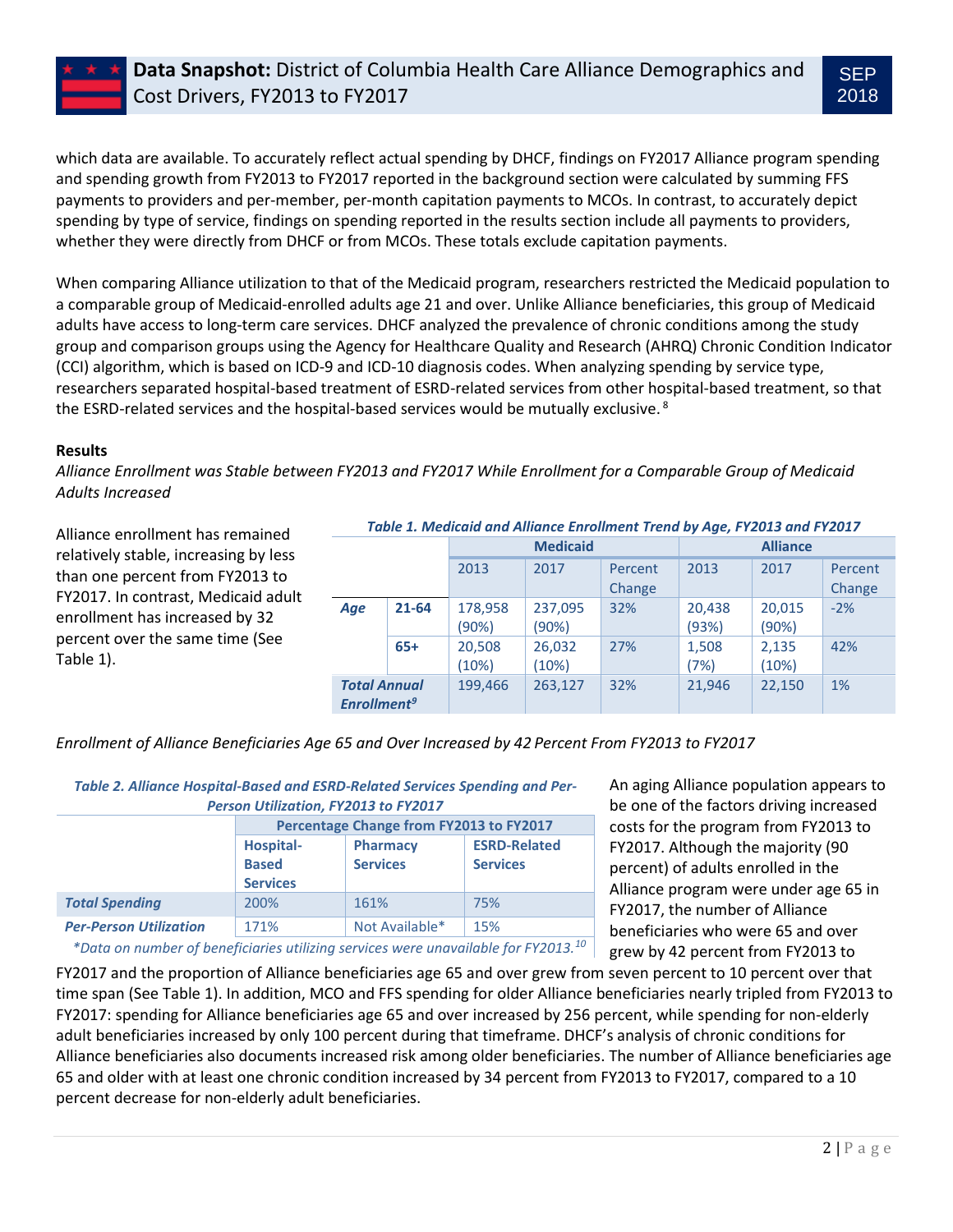# **Data Snapshot:** District of Columbia Health Care Alliance Demographics and Cost Drivers, FY2013 to FY2017

which data are available. To accurately reflect actual spending by DHCF, findings on FY2017 Alliance program spending and spending growth from FY2013 to FY2017 reported in the background section were calculated by summing FFS payments to providers and per-member, per-month capitation payments to MCOs. In contrast, to accurately depict spending by type of service, findings on spending reported in the results section include all payments to providers, whether they were directly from DHCF or from MCOs. These totals exclude capitation payments.

When comparing Alliance utilization to that of the Medicaid program, researchers restricted the Medicaid population to a comparable group of Medicaid-enrolled adults age 21 and over. Unlike Alliance beneficiaries, this group of Medicaid adults have access to long-term care services. DHCF analyzed the prevalence of chronic conditions among the study group and comparison groups using the Agency for Healthcare Quality and Research (AHRQ) Chronic Condition Indicator (CCI) algorithm, which is based on ICD-9 and ICD-10 diagnosis codes. When analyzing spending by service type, researchers separated hospital-based treatment of ESRD-related services from other hospital-based treatment, so that the ESRD-related services and the hospital-based services would be mutually exclusive.<sup>8</sup>

#### **Results**

*Alliance Enrollment was Stable between FY2013 and FY2017 While Enrollment for a Comparable Group of Medicaid Adults Increased*

Alliance enrollment has remained relatively stable, increasing by less than one percent from FY2013 to FY2017. In contrast, Medicaid adult enrollment has increased by 32 percent over the same time (See Table 1).

#### *Table 1. Medicaid and Alliance Enrollment Trend by Age, FY2013 and FY2017*

|                                                      |           | <b>Medicaid</b>  |                  |         | <b>Alliance</b> |                 |         |
|------------------------------------------------------|-----------|------------------|------------------|---------|-----------------|-----------------|---------|
|                                                      |           | 2013             | 2017             | Percent | 2013            | 2017            | Percent |
|                                                      |           |                  |                  | Change  |                 |                 | Change  |
| Age                                                  | $21 - 64$ | 178,958<br>(90%) | 237,095<br>(90%) | 32%     | 20,438<br>(93%) | 20,015<br>(90%) | $-2%$   |
|                                                      | $65+$     | 20,508<br>(10%)  | 26,032<br>(10%)  | 27%     | 1,508<br>(7%)   | 2,135<br>(10%)  | 42%     |
| <b>Total Annual</b><br><b>Enrollment<sup>9</sup></b> |           | 199,466          | 263,127          | 32%     | 21,946          | 22,150          | 1%      |

*Enrollment of Alliance Beneficiaries Age 65 and Over Increased by 42 Percent From FY2013 to FY2017*

| Table 2. Alliance Hospital-Based and ESRD-Related Services Spending and Per-<br>Person Utilization, FY2013 to FY2017 |                                         |                 |                     |  |  |  |  |  |
|----------------------------------------------------------------------------------------------------------------------|-----------------------------------------|-----------------|---------------------|--|--|--|--|--|
|                                                                                                                      | Percentage Change from FY2013 to FY2017 |                 |                     |  |  |  |  |  |
|                                                                                                                      | <b>Hospital-</b>                        | <b>Pharmacy</b> | <b>ESRD-Related</b> |  |  |  |  |  |
|                                                                                                                      | <b>Based</b>                            | <b>Services</b> | <b>Services</b>     |  |  |  |  |  |
|                                                                                                                      | <b>Services</b>                         |                 |                     |  |  |  |  |  |
| <b>Total Spending</b>                                                                                                | 200%                                    | 161%            | 75%                 |  |  |  |  |  |
| <b>Per-Person Utilization</b>                                                                                        | 171%                                    | Not Available*  | 15%                 |  |  |  |  |  |
|                                                                                                                      |                                         |                 |                     |  |  |  |  |  |

An aging Alliance population appears to be one of the factors driving increased costs for the program from FY2013 to FY2017. Although the majority (90 percent) of adults enrolled in the Alliance program were under age 65 in FY2017, the number of Alliance beneficiaries who were 65 and over grew by 42 percent from FY2013 to

*\*Data on number of beneficiaries utilizing services were unavailable for FY2013.<sup>10</sup>*

FY2017 and the proportion of Alliance beneficiaries age 65 and over grew from seven percent to 10 percent over that time span (See Table 1). In addition, MCO and FFS spending for older Alliance beneficiaries nearly tripled from FY2013 to FY2017: spending for Alliance beneficiaries age 65 and over increased by 256 percent, while spending for non-elderly adult beneficiaries increased by only 100 percent during that timeframe. DHCF's analysis of chronic conditions for Alliance beneficiaries also documents increased risk among older beneficiaries. The number of Alliance beneficiaries age 65 and older with at least one chronic condition increased by 34 percent from FY2013 to FY2017, compared to a 10 percent decrease for non-elderly adult beneficiaries.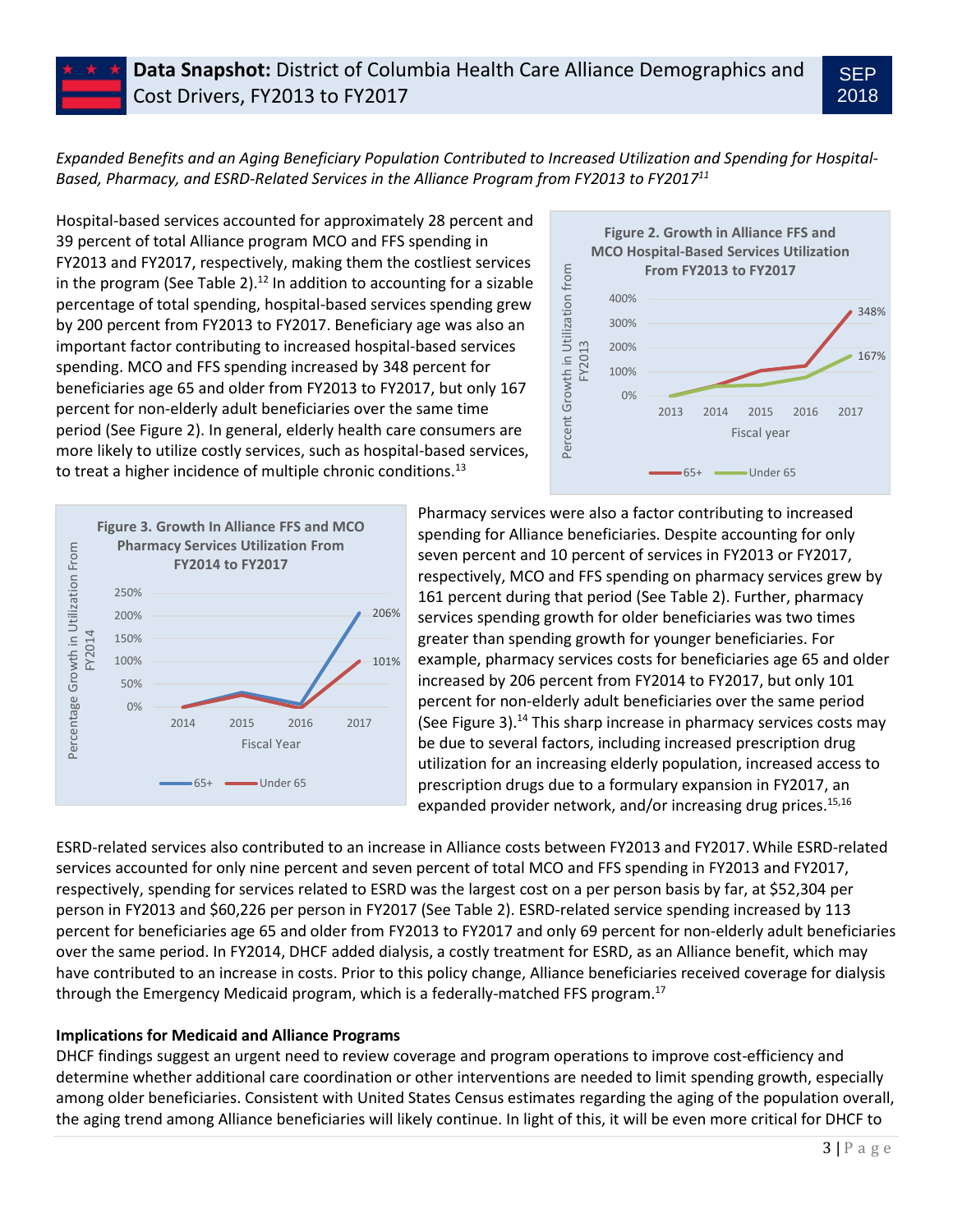*Expanded Benefits and an Aging Beneficiary Population Contributed to Increased Utilization and Spending for Hospital-Based, Pharmacy, and ESRD-Related Services in the Alliance Program from FY2013 to FY2017<sup>11</sup>*

Hospital-based services accounted for approximately 28 percent and 39 percent of total Alliance program MCO and FFS spending in FY2013 and FY2017, respectively, making them the costliest services in the program (See Table 2).<sup>12</sup> In addition to accounting for a sizable percentage of total spending, hospital-based services spending grew by 200 percent from FY2013 to FY2017. Beneficiary age was also an important factor contributing to increased hospital-based services spending. MCO and FFS spending increased by 348 percent for beneficiaries age 65 and older from FY2013 to FY2017, but only 167 percent for non-elderly adult beneficiaries over the same time period (See Figure 2). In general, elderly health care consumers are more likely to utilize costly services, such as hospital-based services, to treat a higher incidence of multiple chronic conditions.<sup>13</sup>



SEP 2018



Pharmacy services were also a factor contributing to increased spending for Alliance beneficiaries. Despite accounting for only seven percent and 10 percent of services in FY2013 or FY2017, respectively, MCO and FFS spending on pharmacy services grew by 161 percent during that period (See Table 2). Further, pharmacy services spending growth for older beneficiaries was two times greater than spending growth for younger beneficiaries. For example, pharmacy services costs for beneficiaries age 65 and older increased by 206 percent from FY2014 to FY2017, but only 101 percent for non-elderly adult beneficiaries over the same period (See Figure 3).<sup>14</sup> This sharp increase in pharmacy services costs may be due to several factors, including increased prescription drug utilization for an increasing elderly population, increased access to prescription drugs due to a formulary expansion in FY2017, an expanded provider network, and/or increasing drug prices. $15,16$ 

ESRD-related services also contributed to an increase in Alliance costs between FY2013 and FY2017.While ESRD-related services accounted for only nine percent and seven percent of total MCO and FFS spending in FY2013 and FY2017, respectively, spending for services related to ESRD was the largest cost on a per person basis by far, at \$52,304 per person in FY2013 and \$60,226 per person in FY2017 (See Table 2). ESRD-related service spending increased by 113 percent for beneficiaries age 65 and older from FY2013 to FY2017 and only 69 percent for non-elderly adult beneficiaries over the same period. In FY2014, DHCF added dialysis, a costly treatment for ESRD, as an Alliance benefit, which may have contributed to an increase in costs. Prior to this policy change, Alliance beneficiaries received coverage for dialysis through the Emergency Medicaid program, which is a federally-matched FFS program. 17

# **Implications for Medicaid and Alliance Programs**

DHCF findings suggest an urgent need to review coverage and program operations to improve cost-efficiency and determine whether additional care coordination or other interventions are needed to limit spending growth, especially among older beneficiaries. Consistent with United States Census estimates regarding the aging of the population overall, the aging trend among Alliance beneficiaries will likely continue. In light of this, it will be even more critical for DHCF to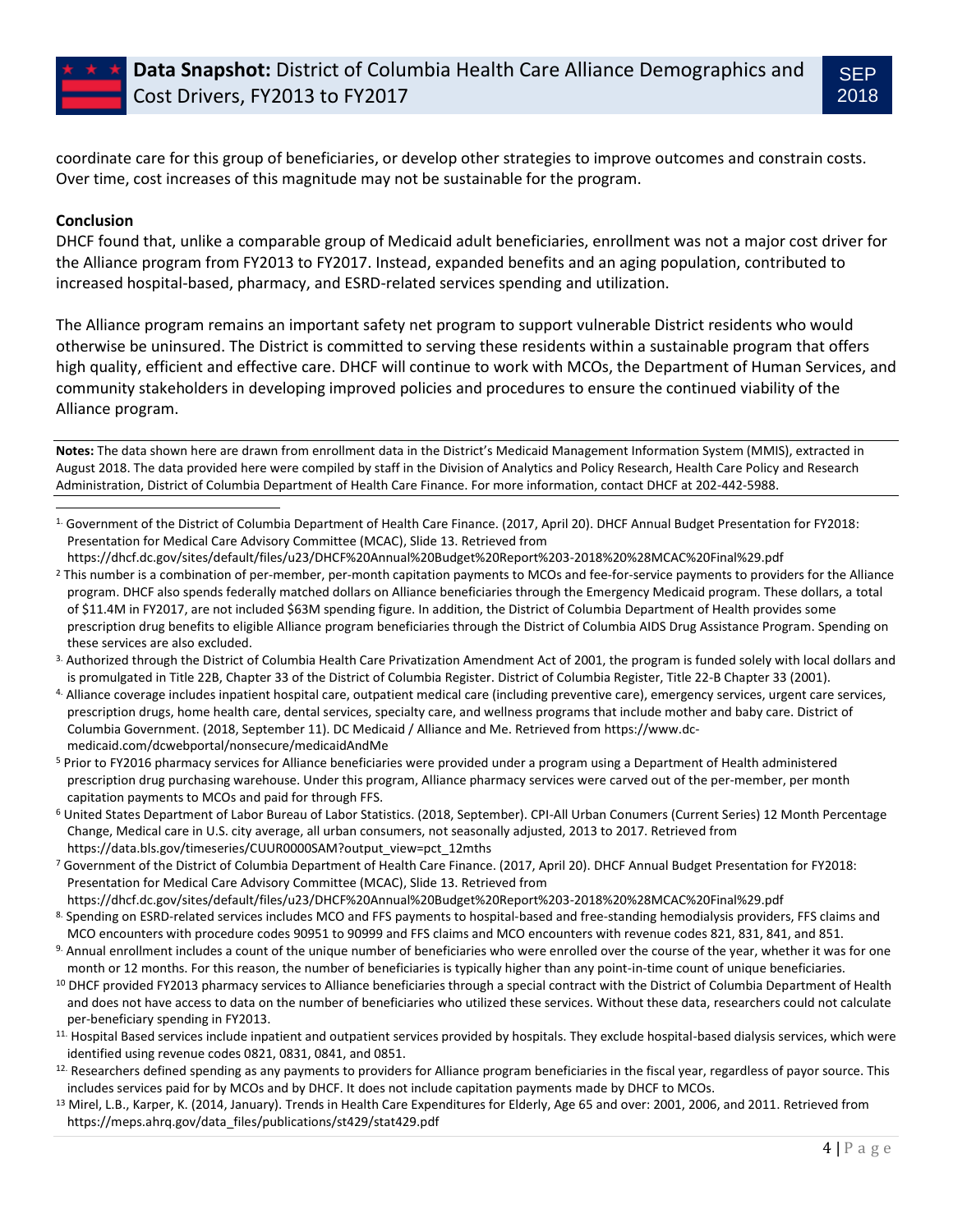coordinate care for this group of beneficiaries, or develop other strategies to improve outcomes and constrain costs. Over time, cost increases of this magnitude may not be sustainable for the program.

### **Conclusion**

l

DHCF found that, unlike a comparable group of Medicaid adult beneficiaries, enrollment was not a major cost driver for the Alliance program from FY2013 to FY2017. Instead, expanded benefits and an aging population, contributed to increased hospital-based, pharmacy, and ESRD-related services spending and utilization.

The Alliance program remains an important safety net program to support vulnerable District residents who would otherwise be uninsured. The District is committed to serving these residents within a sustainable program that offers high quality, efficient and effective care. DHCF will continue to work with MCOs, the Department of Human Services, and community stakeholders in developing improved policies and procedures to ensure the continued viability of the Alliance program.

**Notes:** The data shown here are drawn from enrollment data in the District's Medicaid Management Information System (MMIS), extracted in August 2018. The data provided here were compiled by staff in the Division of Analytics and Policy Research, Health Care Policy and Research Administration, District of Columbia Department of Health Care Finance. For more information, contact DHCF at 202-442-5988.

- <sup>5</sup> Prior to FY2016 pharmacy services for Alliance beneficiaries were provided under a program using a Department of Health administered prescription drug purchasing warehouse. Under this program, Alliance pharmacy services were carved out of the per-member, per month capitation payments to MCOs and paid for through FFS.
- <sup>6</sup> United States Department of Labor Bureau of Labor Statistics. (2018, September). CPI-All Urban Conumers (Current Series) 12 Month Percentage Change, Medical care in U.S. city average, all urban consumers, not seasonally adjusted, 2013 to 2017. Retrieved from https://data.bls.gov/timeseries/CUUR0000SAM?output\_view=pct\_12mths
- <sup>7</sup> Government of the District of Columbia Department of Health Care Finance. (2017, April 20). DHCF Annual Budget Presentation for FY2018: Presentation for Medical Care Advisory Committee (MCAC), Slide 13. Retrieved from
- https://dhcf.dc.gov/sites/default/files/u23/DHCF%20Annual%20Budget%20Report%203-2018%20%28MCAC%20Final%29.pdf 8. Spending on ESRD-related services includes MCO and FFS payments to hospital-based and free-standing hemodialysis providers, FFS claims and MCO encounters with procedure codes 90951 to 90999 and FFS claims and MCO encounters with revenue codes 821, 831, 841, and 851.
- 9. Annual enrollment includes a count of the unique number of beneficiaries who were enrolled over the course of the year, whether it was for one month or 12 months. For this reason, the number of beneficiaries is typically higher than any point-in-time count of unique beneficiaries.
- <sup>10</sup> DHCF provided FY2013 pharmacy services to Alliance beneficiaries through a special contract with the District of Columbia Department of Health and does not have access to data on the number of beneficiaries who utilized these services. Without these data, researchers could not calculate per-beneficiary spending in FY2013.
- 11. Hospital Based services include inpatient and outpatient services provided by hospitals. They exclude hospital-based dialysis services, which were identified using revenue codes 0821, 0831, 0841, and 0851.
- 12. Researchers defined spending as any payments to providers for Alliance program beneficiaries in the fiscal year, regardless of payor source. This includes services paid for by MCOs and by DHCF. It does not include capitation payments made by DHCF to MCOs.
- <sup>13</sup> Mirel, L.B., Karper, K. (2014, January). Trends in Health Care Expenditures for Elderly, Age 65 and over: 2001, 2006, and 2011. Retrieved from [https://meps.ahrq.gov/data\\_files/publications/st429/stat429.pdf](https://meps.ahrq.gov/data_files/publications/st429/stat429.pdf)

<sup>1.</sup> Government of the District of Columbia Department of Health Care Finance. (2017, April 20). DHCF Annual Budget Presentation for FY2018: Presentation for Medical Care Advisory Committee (MCAC), Slide 13. Retrieved from

https://dhcf.dc.gov/sites/default/files/u23/DHCF%20Annual%20Budget%20Report%203-2018%20%28MCAC%20Final%29.pdf <sup>2</sup> This number is a combination of per-member, per-month capitation payments to MCOs and fee-for-service payments to providers for the Alliance program. DHCF also spends federally matched dollars on Alliance beneficiaries through the Emergency Medicaid program. These dollars, a total of \$11.4M in FY2017, are not included \$63M spending figure. In addition, the District of Columbia Department of Health provides some prescription drug benefits to eligible Alliance program beneficiaries through the District of Columbia AIDS Drug Assistance Program. Spending on these services are also excluded.

<sup>3.</sup> Authorized through the District of Columbia Health Care Privatization Amendment Act of 2001, the program is funded solely with local dollars and is promulgated in Title 22B, Chapter 33 of the District of Columbia Register. District of Columbia Register, Title 22-B Chapter 33 (2001).

<sup>4.</sup> Alliance coverage includes inpatient hospital care, outpatient medical care (including preventive care), emergency services, urgent care services, prescription drugs, home health care, dental services, specialty care, and wellness programs that include mother and baby care. District of Columbia Government. (2018, September 11). DC Medicaid / Alliance and Me. Retrieved from https://www.dcmedicaid.com/dcwebportal/nonsecure/medicaidAndMe